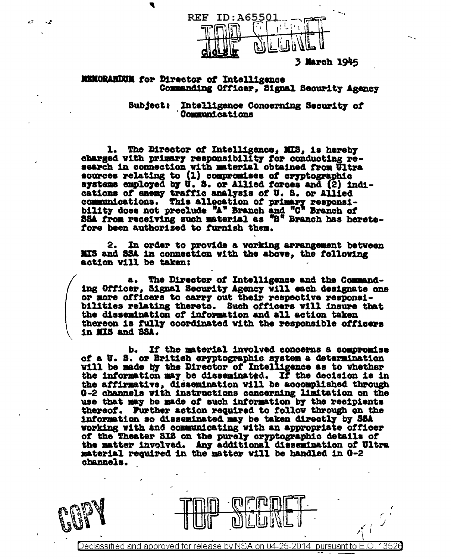

3 March 1945

## **MENORANDUM for Director of Intelligence** Commanding Officer, Signal Security Agency

4

as E

ى.

Intelligence Concerning Security of **Subject:** Communications

1. The Director of Intelligence, MIS, is hereby charged with primary responsibility for conducting research in connection with material obtained from Ultra sources relating to (1) compromises of cryptographic systems employed by U.S. or Allied forces and (2) indications of enemy traffic analysis of U.S. or Allied communications. This allocation of primary responsibility does not preclude "A" Branch and "G" Branch of SSA from receiving such material as "B" Branch has heretofore been authorized to furnish them.

In order to provide a working arrangement between 2. MIS and SSA in connection with the above, the following action vill be taken:

a. The Director of Intelligence and the Commanding Officer, Signal Security Agency will each designate one or more officers to carry out their respective responsibilities relating thereto. Such officers will insure that the dissemination of information and all action taken thereon is fully coordinated with the responsible officers in MIS and SSA.

If the material involved concerns a compromise b. of a U.S. or British cryptographic system a determination will be made by the Director of Intelligence as to whether the information may be disseminated. If the decision is in the affirmative, dissemination will be accomplished through G-2 channels with instructions concerning limitation on the use that may be made of such information by the recipients thereof. Further action required to follow through on the information so disseminated may be taken directly by SSA working with and communicating with an appropriate officer of the Theater SIS on the purely cryptographic details of the matter involved. Any additional dissemination of Ultra material required in the matter will be handled in G-2 channels.

Declassified and approved for release by NSA on 04-25-2014 pursuant to E.O. 13526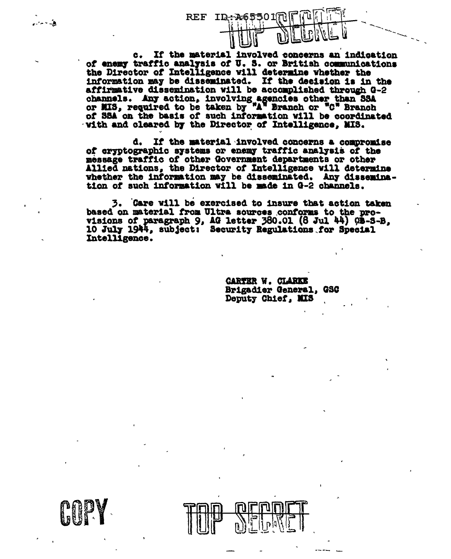If the material involved concerns an indication  $c_{\bullet}$ of enemy traffic analysis of U.S. or British communications the Director of Intelligence will determine whether the information may be disseminated. If the decision is in the affirmative dissemination will be accomplished through G-2 channels. Any action, involving agencies other than SSA or MIS, required to be taken by "A" Branch or "C" Branch of SSA on the basis of such information will be coordinated vith and cleared by the Director of Intelligence, MIS.

REF ID: 465

d. If the material involved concerns a compromise of cryptographic systems or enemy traffic analysis of the message traffic of other Government departments or other Allied nations, the Director of Intelligence vill determine whether the information may be disseminated. Any dissemination of such information will be made in G-2 channels.

3. Care will be exercised to insure that action taken based on material from Ultra sources conforms to the provisions of paragraph 9, AG letter 380.01 (8 Jul 44) 08-S-B. 10 July 1944, subject: Security Regulations for Special Intelligence.

> **GARTER W. CLARKE** Brigadier General, GSC Deputy Chief, MIS



بغدام برازر